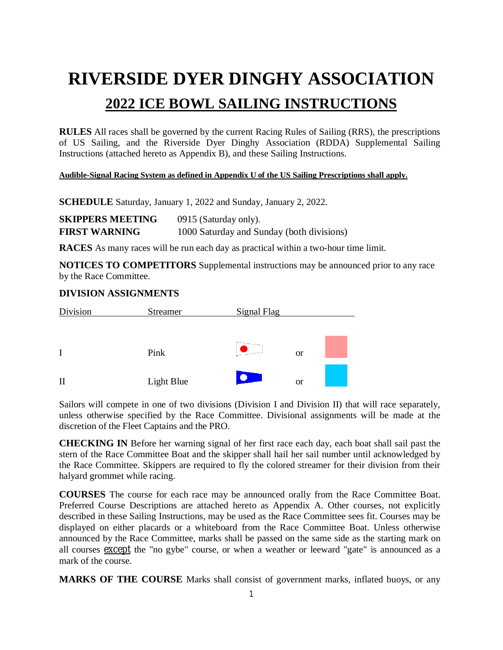## **RIVERSIDE DYER DINGHY ASSOCIATION 2022 ICE BOWL SAILING INSTRUCTIONS**

**RULES** All races shall be governed by the current Racing Rules of Sailing (RRS), the prescriptions of US Sailing, and the Riverside Dyer Dinghy Association (RDDA) Supplemental Sailing Instructions (attached hereto as Appendix B), and these Sailing Instructions.

#### **Audible-Signal Racing System as defined in Appendix U of the US Sailing Prescriptions shall apply.**

**SCHEDULE** Saturday, January 1, 2022 and Sunday, January 2, 2022.

| <b>SKIPPERS MEETING</b> | 0915 (Saturday only).                     |
|-------------------------|-------------------------------------------|
| <b>FIRST WARNING</b>    | 1000 Saturday and Sunday (both divisions) |

**RACES** As many races will be run each day as practical within a two-hour time limit.

**NOTICES TO COMPETITORS** Supplemental instructions may be announced prior to any race by the Race Committee.

#### **DIVISION ASSIGNMENTS**



Sailors will compete in one of two divisions (Division I and Division II) that will race separately, unless otherwise specified by the Race Committee. Divisional assignments will be made at the discretion of the Fleet Captains and the PRO.

**CHECKING IN** Before her warning signal of her first race each day, each boat shall sail past the stern of the Race Committee Boat and the skipper shall hail her sail number until acknowledged by the Race Committee. Skippers are required to fly the colored streamer for their division from their halyard grommet while racing.

**COURSES** The course for each race may be announced orally from the Race Committee Boat. Preferred Course Descriptions are attached hereto as Appendix A. Other courses, not explicitly described in these Sailing Instructions, may be used as the Race Committee sees fit. Courses may be displayed on either placards or a whiteboard from the Race Committee Boat. Unless otherwise announced by the Race Committee, marks shall be passed on the same side as the starting mark on all courses except the "no gybe" course, or when a weather or leeward "gate" is announced as a mark of the course.

**MARKS OF THE COURSE** Marks shall consist of government marks, inflated buoys, or any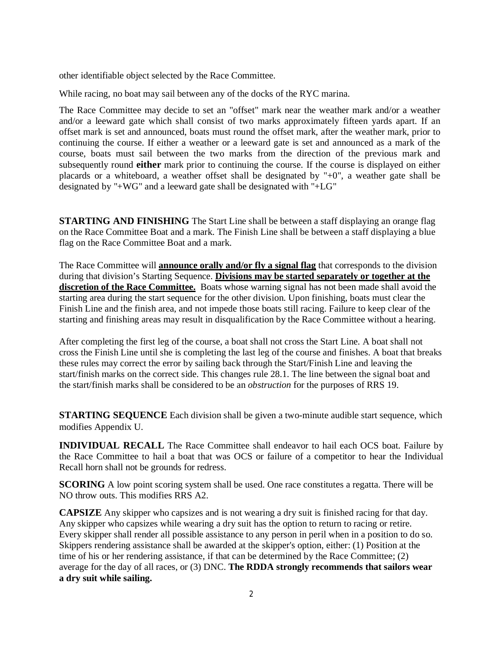other identifiable object selected by the Race Committee.

While racing, no boat may sail between any of the docks of the RYC marina.

The Race Committee may decide to set an "offset" mark near the weather mark and/or a weather and/or a leeward gate which shall consist of two marks approximately fifteen yards apart. If an offset mark is set and announced, boats must round the offset mark, after the weather mark, prior to continuing the course. If either a weather or a leeward gate is set and announced as a mark of the course, boats must sail between the two marks from the direction of the previous mark and subsequently round **either** mark prior to continuing the course. If the course is displayed on either placards or a whiteboard, a weather offset shall be designated by "+0", a weather gate shall be designated by "+WG" and a leeward gate shall be designated with "+LG"

**STARTING AND FINISHING** The Start Line shall be between a staff displaying an orange flag on the Race Committee Boat and a mark. The Finish Line shall be between a staff displaying a blue flag on the Race Committee Boat and a mark.

The Race Committee will **announce orally and/or fly a signal flag** that corresponds to the division during that division's Starting Sequence. **Divisions may be started separately or together at the discretion of the Race Committee.** Boats whose warning signal has not been made shall avoid the starting area during the start sequence for the other division. Upon finishing, boats must clear the Finish Line and the finish area, and not impede those boats still racing. Failure to keep clear of the starting and finishing areas may result in disqualification by the Race Committee without a hearing.

After completing the first leg of the course, a boat shall not cross the Start Line. A boat shall not cross the Finish Line until she is completing the last leg of the course and finishes. A boat that breaks these rules may correct the error by sailing back through the Start/Finish Line and leaving the start/finish marks on the correct side. This changes rule 28.1. The line between the signal boat and the start/finish marks shall be considered to be an *obstruction* for the purposes of RRS 19.

**STARTING SEQUENCE** Each division shall be given a two-minute audible start sequence, which modifies Appendix U.

**INDIVIDUAL RECALL** The Race Committee shall endeavor to hail each OCS boat. Failure by the Race Committee to hail a boat that was OCS or failure of a competitor to hear the Individual Recall horn shall not be grounds for redress.

**SCORING** A low point scoring system shall be used. One race constitutes a regatta. There will be NO throw outs. This modifies RRS A2.

**CAPSIZE** Any skipper who capsizes and is not wearing a dry suit is finished racing for that day. Any skipper who capsizes while wearing a dry suit has the option to return to racing or retire. Every skipper shall render all possible assistance to any person in peril when in a position to do so. Skippers rendering assistance shall be awarded at the skipper's option, either: (1) Position at the time of his or her rendering assistance, if that can be determined by the Race Committee; (2) average for the day of all races, or (3) DNC. **The RDDA strongly recommends that sailors wear a dry suit while sailing.**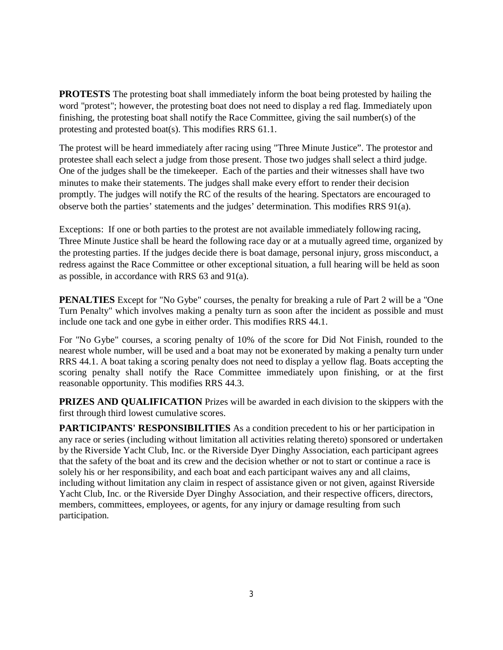**PROTESTS** The protesting boat shall immediately inform the boat being protested by hailing the word "protest"; however, the protesting boat does not need to display a red flag. Immediately upon finishing, the protesting boat shall notify the Race Committee, giving the sail number(s) of the protesting and protested boat(s). This modifies RRS 61.1.

The protest will be heard immediately after racing using "Three Minute Justice". The protestor and protestee shall each select a judge from those present. Those two judges shall select a third judge. One of the judges shall be the timekeeper. Each of the parties and their witnesses shall have two minutes to make their statements. The judges shall make every effort to render their decision promptly. The judges will notify the RC of the results of the hearing. Spectators are encouraged to observe both the parties' statements and the judges' determination. This modifies RRS 91(a).

Exceptions: If one or both parties to the protest are not available immediately following racing, Three Minute Justice shall be heard the following race day or at a mutually agreed time, organized by the protesting parties. If the judges decide there is boat damage, personal injury, gross misconduct, a redress against the Race Committee or other exceptional situation, a full hearing will be held as soon as possible, in accordance with RRS 63 and 91(a).

**PENALTIES** Except for "No Gybe" courses, the penalty for breaking a rule of Part 2 will be a "One Turn Penalty" which involves making a penalty turn as soon after the incident as possible and must include one tack and one gybe in either order. This modifies RRS 44.1.

For "No Gybe" courses, a scoring penalty of 10% of the score for Did Not Finish, rounded to the nearest whole number, will be used and a boat may not be exonerated by making a penalty turn under RRS 44.1. A boat taking a scoring penalty does not need to display a yellow flag. Boats accepting the scoring penalty shall notify the Race Committee immediately upon finishing, or at the first reasonable opportunity. This modifies RRS 44.3.

**PRIZES AND QUALIFICATION** Prizes will be awarded in each division to the skippers with the first through third lowest cumulative scores.

**PARTICIPANTS' RESPONSIBILITIES** As a condition precedent to his or her participation in any race or series (including without limitation all activities relating thereto) sponsored or undertaken by the Riverside Yacht Club, Inc. or the Riverside Dyer Dinghy Association, each participant agrees that the safety of the boat and its crew and the decision whether or not to start or continue a race is solely his or her responsibility, and each boat and each participant waives any and all claims, including without limitation any claim in respect of assistance given or not given, against Riverside Yacht Club, Inc. or the Riverside Dyer Dinghy Association, and their respective officers, directors, members, committees, employees, or agents, for any injury or damage resulting from such participation.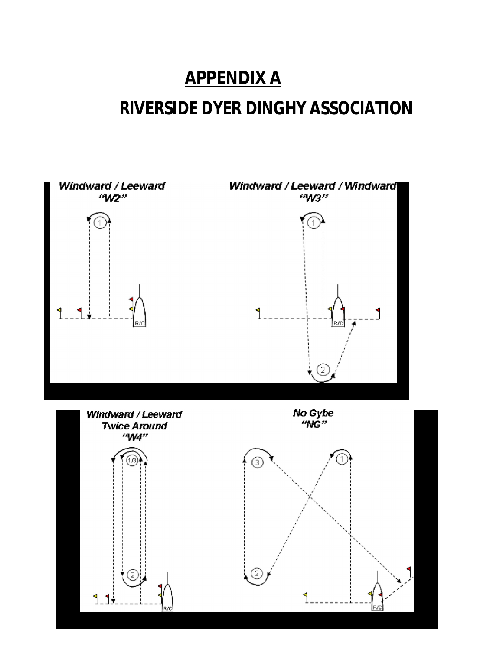### **APPENDIX A**

### **RIVERSIDE DYER DINGHY ASSOCIATION**